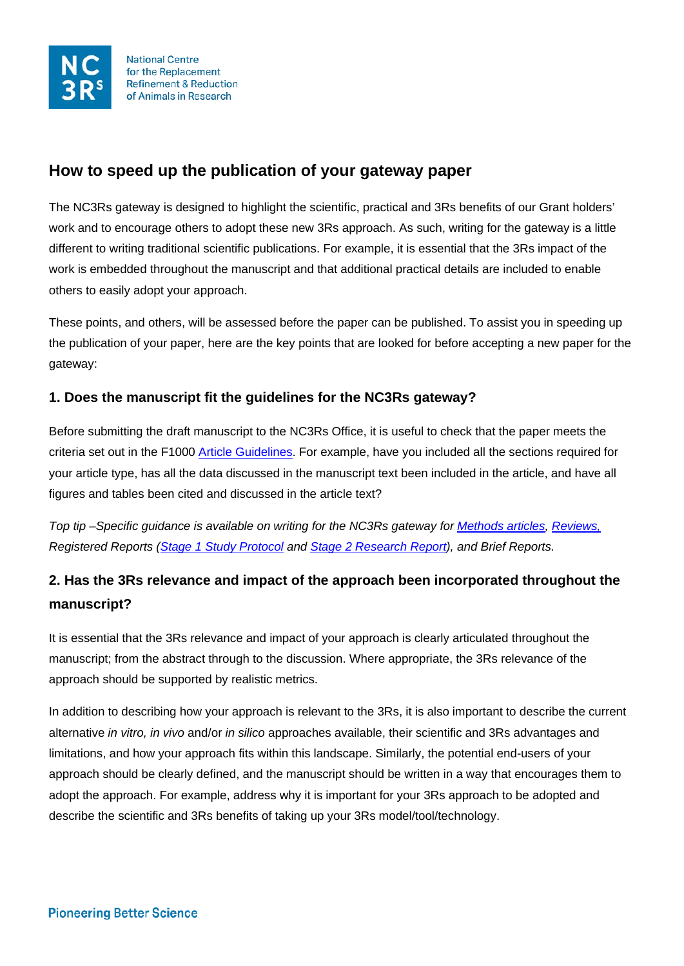

**National Centre** for the Replacement **Refinement & Reduction** of Animals in Research

# **How to speed up the publication of your gateway paper**

The NC3Rs gateway is designed to highlight the scientific, practical and 3Rs benefits of our Grant holders' work and to encourage others to adopt these new 3Rs approach. As such, writing for the gateway is a little different to writing traditional scientific publications. For example, it is essential that the 3Rs impact of the work is embedded throughout the manuscript and that additional practical details are included to enable others to easily adopt your approach.

These points, and others, will be assessed before the paper can be published. To assist you in speeding up the publication of your paper, here are the key points that are looked for before accepting a new paper for the gateway:

# **1. Does the manuscript fit the guidelines for the NC3Rs gateway?**

Before submitting the draft manuscript to the NC3Rs Office, it is useful to check that the paper meets the criteria set out in the F1000 [Article Guidelines.](https://f1000research.com/gateways/nc3rs/for-authors/article-guidelines) For example, have you included all the sections required for your article type, has all the data discussed in the manuscript text been included in the article, and have all figures and tables been cited and discussed in the article text?

*Top tip –Specific guidance is available on writing for the NC3Rs gateway for [Methods articles,](https://f1000researchdata.s3.amazonaws.com/resources/NC3Rs-Method-Articles.pdf) [Reviews,](https://f1000researchdata.s3.amazonaws.com/resources/NC3Rs-Reviews.pdf) Registered Reports (Stage 1 [Study Protocol](https://f1000researchdata.s3.amazonaws.com/resources/NC3Rs-Study-Protocols.pdf) and Stage 2 [Research Report\)](https://f1000researchdata.s3.amazonaws.com/resources/NC3Rs-Research-Articles.pdf), and Brief Reports.* 

# **2. Has the 3Rs relevance and impact of the approach been incorporated throughout the manuscript?**

It is essential that the 3Rs relevance and impact of your approach is clearly articulated throughout the manuscript; from the abstract through to the discussion. Where appropriate, the 3Rs relevance of the approach should be supported by realistic metrics.

In addition to describing how your approach is relevant to the 3Rs, it is also important to describe the current alternative *in vitro, in vivo* and/or *in silico* approaches available, their scientific and 3Rs advantages and limitations, and how your approach fits within this landscape. Similarly, the potential end-users of your approach should be clearly defined, and the manuscript should be written in a way that encourages them to adopt the approach. For example, address why it is important for your 3Rs approach to be adopted and describe the scientific and 3Rs benefits of taking up your 3Rs model/tool/technology.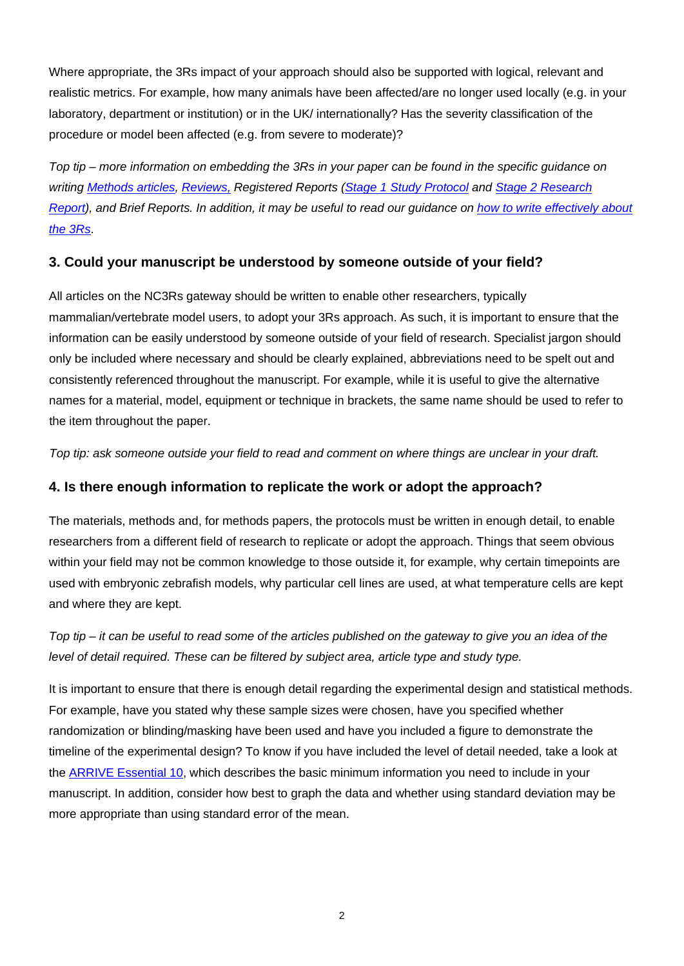Where appropriate, the 3Rs impact of your approach should also be supported with logical, relevant and realistic metrics. For example, how many animals have been affected/are no longer used locally (e.g. in your laboratory, department or institution) or in the UK/ internationally? Has the severity classification of the procedure or model been affected (e.g. from severe to moderate)?

*Top tip – more information on embedding the 3Rs in your paper can be found in the specific guidance on writing [Methods articles,](https://f1000researchdata.s3.amazonaws.com/resources/NC3Rs-Method-Articles.pdf) [Reviews,](https://f1000researchdata.s3.amazonaws.com/resources/NC3Rs-Reviews.pdf) Registered Reports [\(Stage 1 Study Protocol](https://f1000researchdata.s3.amazonaws.com/resources/NC3Rs-Study-Protocols.pdf) and [Stage 2 Research](https://f1000researchdata.s3.amazonaws.com/resources/NC3Rs-Research-Articles.pdf)  [Report\)](https://f1000researchdata.s3.amazonaws.com/resources/NC3Rs-Research-Articles.pdf), and Brief Reports. In addition, it may be useful to read our guidance on [how to write effectively about](https://nc3rs.org.uk/how-write-effectively-about-3rs-your-grant-application)  [the 3Rs](https://nc3rs.org.uk/how-write-effectively-about-3rs-your-grant-application)*.

### **3. Could your manuscript be understood by someone outside of your field?**

All articles on the NC3Rs gateway should be written to enable other researchers, typically mammalian/vertebrate model users, to adopt your 3Rs approach. As such, it is important to ensure that the information can be easily understood by someone outside of your field of research. Specialist jargon should only be included where necessary and should be clearly explained, abbreviations need to be spelt out and consistently referenced throughout the manuscript. For example, while it is useful to give the alternative names for a material, model, equipment or technique in brackets, the same name should be used to refer to the item throughout the paper.

*Top tip: ask someone outside your field to read and comment on where things are unclear in your draft.*

### **4. Is there enough information to replicate the work or adopt the approach?**

The materials, methods and, for methods papers, the protocols must be written in enough detail, to enable researchers from a different field of research to replicate or adopt the approach. Things that seem obvious within your field may not be common knowledge to those outside it, for example, why certain timepoints are used with embryonic zebrafish models, why particular cell lines are used, at what temperature cells are kept and where they are kept.

*Top tip – it can be useful to read some of the articles published on the gateway to give you an idea of the level of detail required. These can be filtered by subject area, article type and study type.*

It is important to ensure that there is enough detail regarding the experimental design and statistical methods. For example, have you stated why these sample sizes were chosen, have you specified whether randomization or blinding/masking have been used and have you included a figure to demonstrate the timeline of the experimental design? To know if you have included the level of detail needed, take a look at the [ARRIVE Essential 10,](https://arriveguidelines.org/sites/arrive/files/documents/ARRIVE%20guidelines%202.0%20-%20English.pdf) which describes the basic minimum information you need to include in your manuscript. In addition, consider how best to graph the data and whether using standard deviation may be more appropriate than using standard error of the mean.